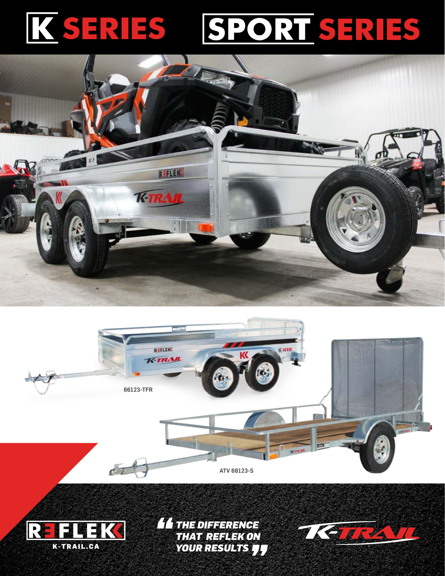## SPORT SERIES KSERIES







*THE DIFFERENCE THAT REFLEK ON YOUR RESULTS*

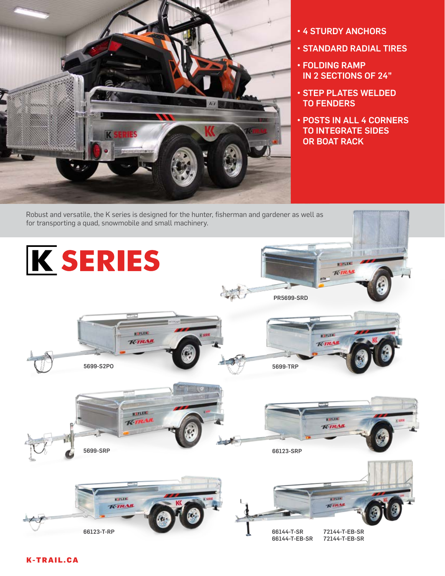

- 4 STURDY ANCHORS
- STANDARD RADIAL TIRES
- FOLDING RAMP IN 2 SECTIONS OF 24"
- STEP PLATES WELDED TO FENDERS
- POSTS IN ALL 4 CORNERS TO INTEGRATE SIDES OR BOAT RACK



## K-TRAIL.CA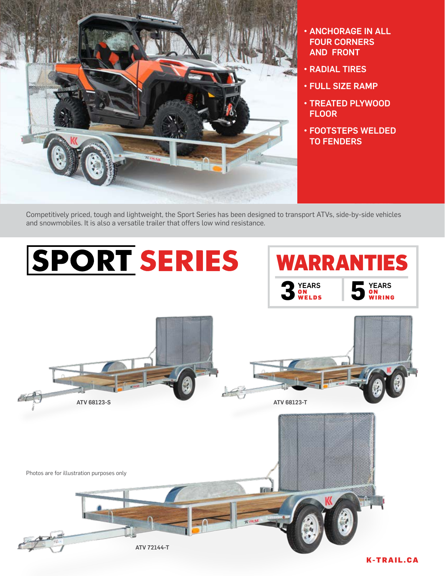

- ANCHORAGE IN ALL FOUR CORNERS AND FRONT
- RADIAL TIRES
- FULL SIZE RAMP
- TREATED PLYWOOD FLOOR
- FOOTSTEPS WELDED TO FENDERS

Competitively priced, tough and lightweight, the Sport Series has been designed to transport ATVs, side-by-side vehicles and snowmobiles. It is also a versatile trailer that offers low wind resistance.

## **SPORT SERIES** WARRANTIES**3** YEARS<br>WELDS YEARS<br>ON WELDS **5** ON WIRING O N ON<br>Wiring ATV 68123-S ATV 68123-T Photos are for illustration purposes only m ATV 72144-T